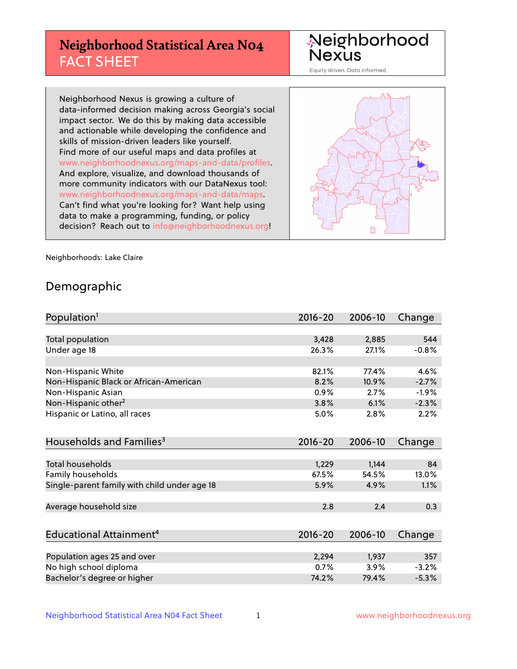# **Neighborhood Statistical Area N04** FACT SHEET

Neighborhood Nexus

Equity driven. Data informed.

Neighborhood Nexus is growing a culture of data-informed decision making across Georgia's social impact sector. We do this by making data accessible and actionable while developing the confidence and skills of mission-driven leaders like yourself. Find more of our useful maps and data profiles at www.neighborhoodnexus.org/maps-and-data/profiles. And explore, visualize, and download thousands of more community indicators with our DataNexus tool: www.neighborhoodnexus.org/maps-and-data/maps. Can't find what you're looking for? Want help using data to make a programming, funding, or policy decision? Reach out to [info@neighborhoodnexus.org!](mailto:info@neighborhoodnexus.org)



Neighborhoods: Lake Claire

### Demographic

| Population <sup>1</sup>                      | $2016 - 20$ | 2006-10 | Change  |
|----------------------------------------------|-------------|---------|---------|
|                                              |             |         |         |
| Total population                             | 3,428       | 2,885   | 544     |
| Under age 18                                 | 26.3%       | 27.1%   | $-0.8%$ |
| Non-Hispanic White                           | 82.1%       | 77.4%   | 4.6%    |
| Non-Hispanic Black or African-American       | 8.2%        | 10.9%   | $-2.7%$ |
| Non-Hispanic Asian                           | 0.9%        | 2.7%    | $-1.9%$ |
| Non-Hispanic other <sup>2</sup>              | 3.8%        | 6.1%    | $-2.3%$ |
| Hispanic or Latino, all races                | 5.0%        | 2.8%    | 2.2%    |
| Households and Families <sup>3</sup>         | $2016 - 20$ | 2006-10 | Change  |
|                                              |             |         |         |
| <b>Total households</b>                      | 1,229       | 1,144   | 84      |
| Family households                            | 67.5%       | 54.5%   | 13.0%   |
| Single-parent family with child under age 18 | 5.9%        | 4.9%    | 1.1%    |
| Average household size                       | 2.8         | 2.4     | 0.3     |
| Educational Attainment <sup>4</sup>          | $2016 - 20$ | 2006-10 | Change  |
|                                              |             |         |         |
| Population ages 25 and over                  | 2,294       | 1,937   | 357     |
| No high school diploma                       | 0.7%        | 3.9%    | $-3.2%$ |
| Bachelor's degree or higher                  | 74.2%       | 79.4%   | $-5.3%$ |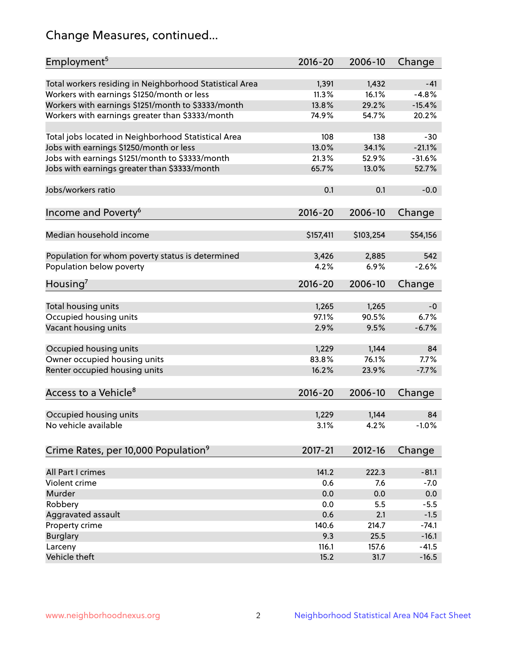# Change Measures, continued...

| Employment <sup>5</sup>                                                                               | $2016 - 20$    | 2006-10        | Change   |
|-------------------------------------------------------------------------------------------------------|----------------|----------------|----------|
|                                                                                                       |                |                | $-41$    |
| Total workers residing in Neighborhood Statistical Area                                               | 1,391<br>11.3% | 1,432<br>16.1% | $-4.8%$  |
| Workers with earnings \$1250/month or less                                                            | 13.8%          | 29.2%          | $-15.4%$ |
| Workers with earnings \$1251/month to \$3333/month<br>Workers with earnings greater than \$3333/month | 74.9%          | 54.7%          | 20.2%    |
|                                                                                                       |                |                |          |
| Total jobs located in Neighborhood Statistical Area                                                   | 108            | 138            | $-30$    |
| Jobs with earnings \$1250/month or less                                                               | 13.0%          | 34.1%          | $-21.1%$ |
| Jobs with earnings \$1251/month to \$3333/month                                                       | 21.3%          | 52.9%          | $-31.6%$ |
| Jobs with earnings greater than \$3333/month                                                          | 65.7%          | 13.0%          | 52.7%    |
|                                                                                                       |                |                |          |
| Jobs/workers ratio                                                                                    | 0.1            | 0.1            | $-0.0$   |
|                                                                                                       |                |                |          |
| Income and Poverty <sup>6</sup>                                                                       | $2016 - 20$    | 2006-10        | Change   |
|                                                                                                       |                |                |          |
| Median household income                                                                               | \$157,411      | \$103,254      | \$54,156 |
| Population for whom poverty status is determined                                                      | 3,426          | 2,885          | 542      |
| Population below poverty                                                                              | 4.2%           | 6.9%           | $-2.6%$  |
|                                                                                                       |                |                |          |
| Housing'                                                                                              | $2016 - 20$    | 2006-10        | Change   |
|                                                                                                       |                |                |          |
| Total housing units                                                                                   | 1,265          | 1,265          | $-0$     |
| Occupied housing units                                                                                | 97.1%          | 90.5%          | 6.7%     |
| Vacant housing units                                                                                  | 2.9%           | 9.5%           | $-6.7%$  |
|                                                                                                       |                |                |          |
| Occupied housing units                                                                                | 1,229          | 1,144          | 84       |
| Owner occupied housing units                                                                          | 83.8%          | 76.1%          | 7.7%     |
| Renter occupied housing units                                                                         | 16.2%          | 23.9%          | $-7.7%$  |
|                                                                                                       |                |                |          |
| Access to a Vehicle <sup>8</sup>                                                                      | $2016 - 20$    | 2006-10        | Change   |
|                                                                                                       |                |                |          |
| Occupied housing units                                                                                | 1,229          | 1,144          | 84       |
| No vehicle available                                                                                  | 3.1%           | 4.2%           | $-1.0%$  |
| Crime Rates, per 10,000 Population <sup>9</sup>                                                       | 2017-21        | 2012-16        | Change   |
|                                                                                                       |                |                |          |
| All Part I crimes                                                                                     | 141.2          | 222.3          | $-81.1$  |
| Violent crime                                                                                         | 0.6            | 7.6            | $-7.0$   |
| Murder                                                                                                | 0.0            | 0.0            | 0.0      |
| Robbery                                                                                               | 0.0            | 5.5            | $-5.5$   |
| Aggravated assault                                                                                    | 0.6            | 2.1            | $-1.5$   |
| Property crime                                                                                        | 140.6          | 214.7          | $-74.1$  |
| <b>Burglary</b>                                                                                       | 9.3            | 25.5           | $-16.1$  |
| Larceny                                                                                               | 116.1          | 157.6          | $-41.5$  |
| Vehicle theft                                                                                         | 15.2           | 31.7           | $-16.5$  |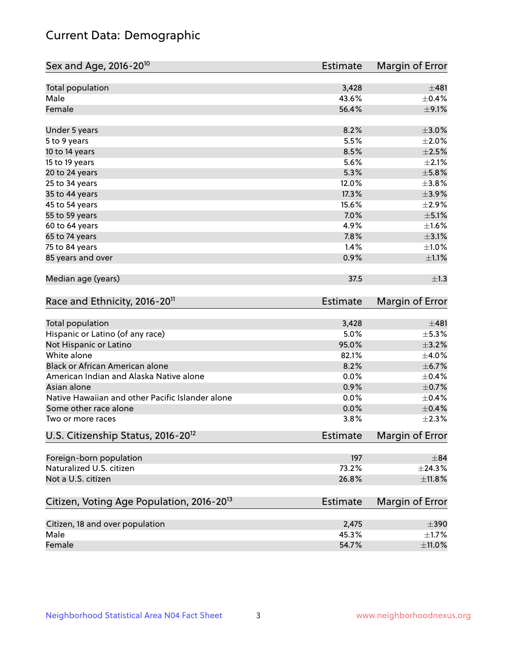# Current Data: Demographic

| Sex and Age, 2016-20 <sup>10</sup>                    | Estimate        | Margin of Error |
|-------------------------------------------------------|-----------------|-----------------|
| Total population                                      | 3,428           | ±481            |
| Male                                                  | 43.6%           | $\pm$ 0.4%      |
| Female                                                | 56.4%           | $\pm$ 9.1%      |
| Under 5 years                                         | 8.2%            | $\pm 3.0\%$     |
| 5 to 9 years                                          | 5.5%            | $\pm 2.0\%$     |
| 10 to 14 years                                        | 8.5%            | $\pm 2.5\%$     |
| 15 to 19 years                                        | 5.6%            | $\pm 2.1\%$     |
| 20 to 24 years                                        | 5.3%            | $\pm$ 5.8%      |
| 25 to 34 years                                        | 12.0%           | ±3.8%           |
| 35 to 44 years                                        | 17.3%           | $\pm$ 3.9%      |
| 45 to 54 years                                        | 15.6%           | $\pm 2.9\%$     |
| 55 to 59 years                                        | 7.0%            | $\pm$ 5.1%      |
| 60 to 64 years                                        | 4.9%            | $\pm1.6\%$      |
| 65 to 74 years                                        | 7.8%            | $\pm$ 3.1%      |
| 75 to 84 years                                        | 1.4%            | ±1.0%           |
| 85 years and over                                     | 0.9%            | $\pm 1.1\%$     |
| Median age (years)                                    | 37.5            | $\pm 1.3$       |
| Race and Ethnicity, 2016-20 <sup>11</sup>             | <b>Estimate</b> | Margin of Error |
| Total population                                      | 3,428           | ±481            |
| Hispanic or Latino (of any race)                      | 5.0%            | $\pm$ 5.3%      |
| Not Hispanic or Latino                                | 95.0%           | $\pm$ 3.2%      |
| White alone                                           | 82.1%           | $\pm$ 4.0%      |
| Black or African American alone                       | 8.2%            | $\pm$ 6.7%      |
| American Indian and Alaska Native alone               | 0.0%            | $\pm$ 0.4%      |
| Asian alone                                           | 0.9%            | $\pm$ 0.7%      |
| Native Hawaiian and other Pacific Islander alone      | 0.0%            | $\pm$ 0.4%      |
| Some other race alone                                 | 0.0%            | $\pm$ 0.4%      |
| Two or more races                                     | 3.8%            | $\pm 2.3\%$     |
| U.S. Citizenship Status, 2016-20 <sup>12</sup>        | <b>Estimate</b> | Margin of Error |
| Foreign-born population                               | 197             | ±84             |
| Naturalized U.S. citizen                              | 73.2%           | ±24.3%          |
| Not a U.S. citizen                                    | 26.8%           | $\pm$ 11.8%     |
| Citizen, Voting Age Population, 2016-20 <sup>13</sup> | Estimate        | Margin of Error |
| Citizen, 18 and over population                       | 2,475           | $\pm 390$       |
| Male                                                  | 45.3%           | $\pm$ 1.7%      |
| Female                                                | 54.7%           | $\pm$ 11.0%     |
|                                                       |                 |                 |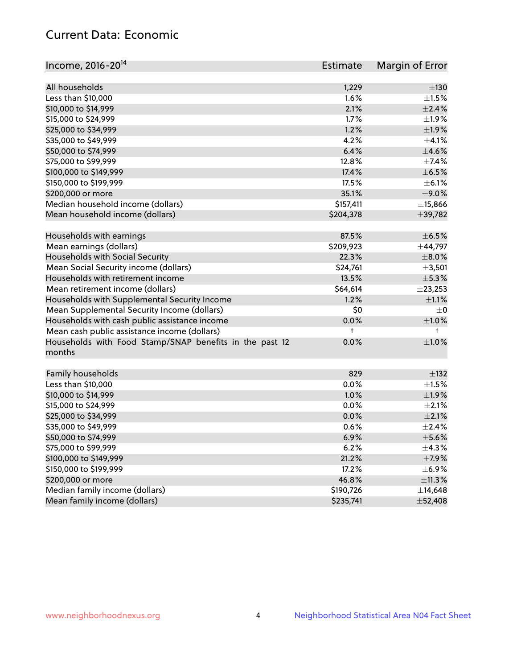# Current Data: Economic

| Income, 2016-20 <sup>14</sup>                           | Estimate  | Margin of Error          |
|---------------------------------------------------------|-----------|--------------------------|
|                                                         |           |                          |
| All households                                          | 1,229     | $\pm$ 130                |
| Less than \$10,000                                      | 1.6%      | $\pm 1.5\%$              |
| \$10,000 to \$14,999                                    | 2.1%      | $\pm 2.4\%$              |
| \$15,000 to \$24,999                                    | 1.7%      | $\pm 1.9\%$              |
| \$25,000 to \$34,999                                    | 1.2%      | $\pm 1.9\%$              |
| \$35,000 to \$49,999                                    | 4.2%      | $\pm 4.1\%$              |
| \$50,000 to \$74,999                                    | 6.4%      | $\pm$ 4.6%               |
| \$75,000 to \$99,999                                    | 12.8%     | $\pm$ 7.4%               |
| \$100,000 to \$149,999                                  | 17.4%     | $\pm$ 6.5%               |
| \$150,000 to \$199,999                                  | 17.5%     | $\pm$ 6.1%               |
| \$200,000 or more                                       | 35.1%     | $\pm$ 9.0%               |
| Median household income (dollars)                       | \$157,411 | ±15,866                  |
| Mean household income (dollars)                         | \$204,378 | ±39,782                  |
| Households with earnings                                | 87.5%     | $\pm$ 6.5%               |
| Mean earnings (dollars)                                 | \$209,923 | ±44,797                  |
| Households with Social Security                         | 22.3%     | $\pm$ 8.0%               |
| Mean Social Security income (dollars)                   | \$24,761  | $\pm$ 3,501              |
| Households with retirement income                       | 13.5%     | ±5.3%                    |
| Mean retirement income (dollars)                        | \$64,614  | ±23,253                  |
| Households with Supplemental Security Income            | 1.2%      | $\pm 1.1\%$              |
| Mean Supplemental Security Income (dollars)             | \$0       | $\pm$ 0                  |
| Households with cash public assistance income           | 0.0%      | $\pm 1.0\%$              |
| Mean cash public assistance income (dollars)            | t         | $^+$                     |
| Households with Food Stamp/SNAP benefits in the past 12 | 0.0%      | $\pm1.0\%$               |
| months                                                  |           |                          |
|                                                         | 829       |                          |
| Family households                                       | 0.0%      | $\pm$ 132<br>$\pm 1.5\%$ |
| Less than \$10,000<br>\$10,000 to \$14,999              | 1.0%      |                          |
|                                                         |           | ±1.9%                    |
| \$15,000 to \$24,999                                    | 0.0%      | ±2.1%                    |
| \$25,000 to \$34,999                                    | 0.0%      | $\pm 2.1\%$              |
| \$35,000 to \$49,999                                    | 0.6%      | ±2.4%                    |
| \$50,000 to \$74,999                                    | 6.9%      | $\pm$ 5.6%               |
| \$75,000 to \$99,999                                    | 6.2%      | $\pm$ 4.3%               |
| \$100,000 to \$149,999                                  | 21.2%     | $\pm$ 7.9%               |
| \$150,000 to \$199,999                                  | 17.2%     | $\pm$ 6.9%               |
| \$200,000 or more                                       | 46.8%     | $\pm$ 11.3%              |
| Median family income (dollars)                          | \$190,726 | ±14,648                  |
| Mean family income (dollars)                            | \$235,741 | ±52,408                  |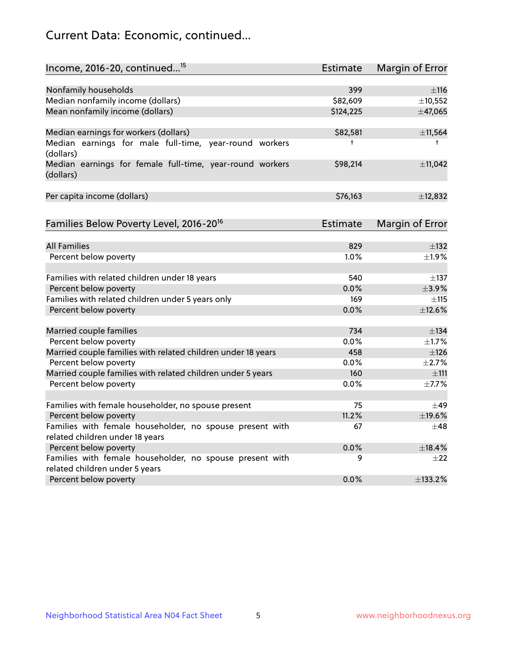# Current Data: Economic, continued...

| Income, 2016-20, continued <sup>15</sup>                              | <b>Estimate</b> | <b>Margin of Error</b> |
|-----------------------------------------------------------------------|-----------------|------------------------|
|                                                                       |                 |                        |
| Nonfamily households                                                  | 399             | $\pm$ 116              |
| Median nonfamily income (dollars)                                     | \$82,609        | ±10,552                |
| Mean nonfamily income (dollars)                                       | \$124,225       | ±47,065                |
| Median earnings for workers (dollars)                                 | \$82,581        | ±11,564                |
| Median earnings for male full-time, year-round workers<br>(dollars)   | $\ddagger$      | $\ddagger$             |
| Median earnings for female full-time, year-round workers<br>(dollars) | \$98,214        | ±11,042                |
| Per capita income (dollars)                                           | \$76,163        | ±12,832                |
| Families Below Poverty Level, 2016-20 <sup>16</sup>                   | <b>Estimate</b> | <b>Margin of Error</b> |
|                                                                       |                 |                        |
| <b>All Families</b>                                                   | 829             | $\pm$ 132              |
| Percent below poverty                                                 | 1.0%            | ±1.9%                  |
| Families with related children under 18 years                         | 540             | $\pm$ 137              |
| Percent below poverty                                                 | 0.0%            | $\pm$ 3.9%             |
| Families with related children under 5 years only                     | 169             | $\pm$ 115              |
| Percent below poverty                                                 | 0.0%            | ±12.6%                 |
| Married couple families                                               | 734             | $\pm$ 134              |
| Percent below poverty                                                 | 0.0%            | $\pm$ 1.7%             |
| Married couple families with related children under 18 years          | 458             | ±126                   |
| Percent below poverty                                                 | $0.0\%$         | ±2.7%                  |
| Married couple families with related children under 5 years           | 160             | $\pm$ 111              |
| Percent below poverty                                                 | $0.0\%$         | ±7.7%                  |
| Families with female householder, no spouse present                   | 75              | $\pm$ 49               |
| Percent below poverty                                                 | 11.2%           | ±19.6%                 |
| Families with female householder, no spouse present with              | 67              | $+48$                  |
| related children under 18 years                                       |                 |                        |
| Percent below poverty                                                 | 0.0%            | ±18.4%                 |
| Families with female householder, no spouse present with              | 9               | $\pm 22$               |
| related children under 5 years                                        |                 |                        |
| Percent below poverty                                                 | 0.0%            | ±133.2%                |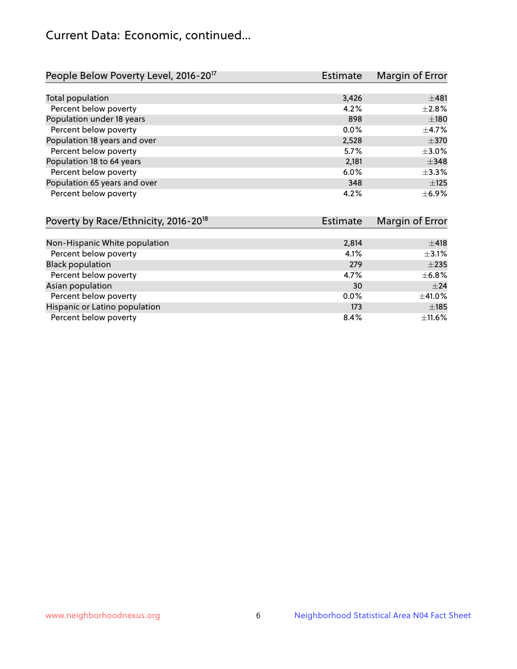# Current Data: Economic, continued...

| People Below Poverty Level, 2016-20 <sup>17</sup> | <b>Estimate</b> | Margin of Error |
|---------------------------------------------------|-----------------|-----------------|
|                                                   |                 |                 |
| Total population                                  | 3,426           | ±481            |
| Percent below poverty                             | 4.2%            | $\pm 2.8\%$     |
| Population under 18 years                         | 898             | ±180            |
| Percent below poverty                             | 0.0%            | $\pm$ 4.7%      |
| Population 18 years and over                      | 2,528           | $\pm 370$       |
| Percent below poverty                             | 5.7%            | $\pm 3.0\%$     |
| Population 18 to 64 years                         | 2,181           | $\pm$ 348       |
| Percent below poverty                             | 6.0%            | ±3.3%           |
| Population 65 years and over                      | 348             | $\pm 125$       |
| Percent below poverty                             | 4.2%            | $\pm$ 6.9%      |

| Poverty by Race/Ethnicity, 2016-20 <sup>18</sup> | <b>Estimate</b> |             |
|--------------------------------------------------|-----------------|-------------|
|                                                  |                 |             |
| Non-Hispanic White population                    | 2,814           | ±418        |
| Percent below poverty                            | 4.1%            | $\pm$ 3.1%  |
| <b>Black population</b>                          | 279             | $+235$      |
| Percent below poverty                            | 4.7%            | $\pm$ 6.8%  |
| Asian population                                 | 30              | ±24         |
| Percent below poverty                            | $0.0\%$         | $\pm$ 41.0% |
| Hispanic or Latino population                    | 173             | $\pm$ 185   |
| Percent below poverty                            | 8.4%            | $\pm$ 11.6% |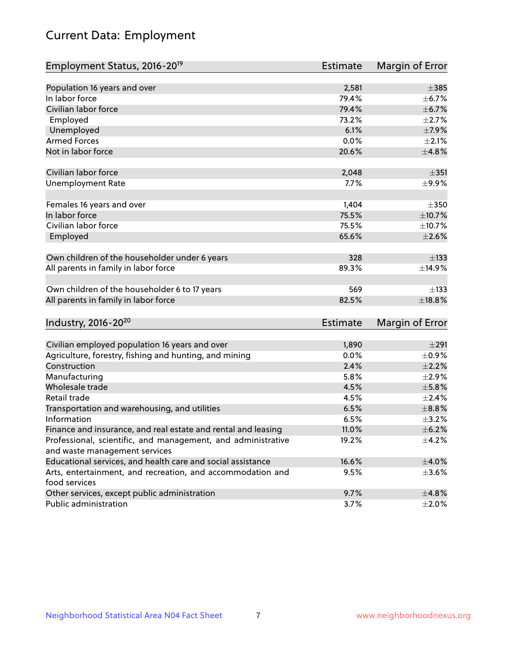# Current Data: Employment

| Employment Status, 2016-20 <sup>19</sup>                                    | <b>Estimate</b> | Margin of Error |
|-----------------------------------------------------------------------------|-----------------|-----------------|
|                                                                             |                 |                 |
| Population 16 years and over                                                | 2,581           | $\pm$ 385       |
| In labor force                                                              | 79.4%           | $\pm$ 6.7%      |
| Civilian labor force                                                        | 79.4%           | $\pm$ 6.7%      |
| Employed                                                                    | 73.2%           | $\pm 2.7\%$     |
| Unemployed                                                                  | 6.1%            | $\pm$ 7.9%      |
| <b>Armed Forces</b>                                                         | 0.0%            | $\pm 2.1\%$     |
| Not in labor force                                                          | 20.6%           | ±4.8%           |
| Civilian labor force                                                        | 2,048           | $\pm 351$       |
| <b>Unemployment Rate</b>                                                    | 7.7%            | $\pm$ 9.9%      |
| Females 16 years and over                                                   | 1,404           | $\pm 350$       |
| In labor force                                                              | 75.5%           | ±10.7%          |
| Civilian labor force                                                        | 75.5%           | ±10.7%          |
| Employed                                                                    | 65.6%           | $\pm 2.6\%$     |
| Own children of the householder under 6 years                               | 328             | $\pm$ 133       |
| All parents in family in labor force                                        | 89.3%           | ±14.9%          |
| Own children of the householder 6 to 17 years                               | 569             | $\pm$ 133       |
| All parents in family in labor force                                        | 82.5%           | $\pm$ 18.8%     |
| Industry, 2016-20 <sup>20</sup>                                             | <b>Estimate</b> | Margin of Error |
|                                                                             |                 |                 |
| Civilian employed population 16 years and over                              | 1,890           | $\pm 291$       |
| Agriculture, forestry, fishing and hunting, and mining                      | 0.0%            | $\pm$ 0.9%      |
| Construction                                                                | 2.4%            | $\pm 2.2\%$     |
| Manufacturing                                                               | 5.8%            | $\pm 2.9\%$     |
| Wholesale trade                                                             | 4.5%            | $\pm$ 5.8%      |
| Retail trade                                                                | 4.5%            | $\pm 2.4\%$     |
| Transportation and warehousing, and utilities                               | 6.5%            | $\pm$ 8.8%      |
| Information                                                                 | 6.5%            | $\pm$ 3.2%      |
| Finance and insurance, and real estate and rental and leasing               | 11.0%           | $\pm$ 6.2%      |
| Professional, scientific, and management, and administrative                | 19.2%           | $\pm$ 4.2%      |
| and waste management services                                               |                 |                 |
| Educational services, and health care and social assistance                 | 16.6%           | $\pm 4.0\%$     |
| Arts, entertainment, and recreation, and accommodation and<br>food services | 9.5%            | $\pm 3.6\%$     |
| Other services, except public administration                                | 9.7%            | ±4.8%           |
| Public administration                                                       | 3.7%            | $\pm 2.0\%$     |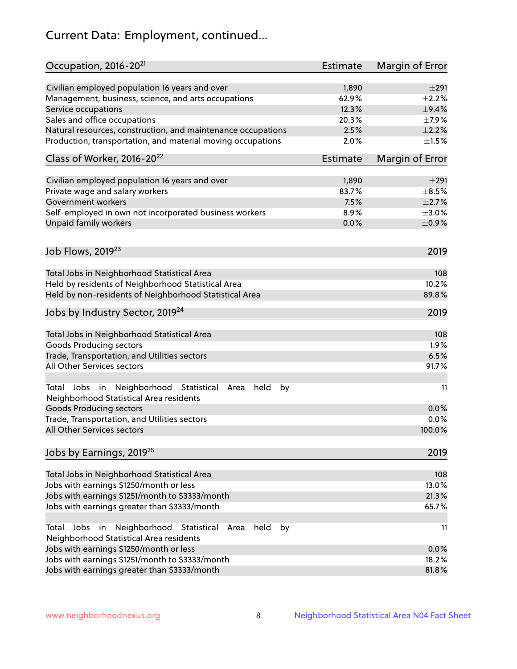# Current Data: Employment, continued...

| Occupation, 2016-20 <sup>21</sup>                                                                             | Estimate        | Margin of Error |
|---------------------------------------------------------------------------------------------------------------|-----------------|-----------------|
| Civilian employed population 16 years and over                                                                | 1,890           | $\pm 291$       |
| Management, business, science, and arts occupations                                                           | 62.9%           | ±2.2%           |
| Service occupations                                                                                           | 12.3%           | $\pm$ 9.4%      |
| Sales and office occupations                                                                                  | 20.3%           | $\pm$ 7.9%      |
| Natural resources, construction, and maintenance occupations                                                  | 2.5%            | $\pm 2.2\%$     |
| Production, transportation, and material moving occupations                                                   | 2.0%            | $\pm1.5\%$      |
| Class of Worker, 2016-20 <sup>22</sup>                                                                        | <b>Estimate</b> | Margin of Error |
| Civilian employed population 16 years and over                                                                | 1,890           | $\pm 291$       |
| Private wage and salary workers                                                                               | 83.7%           | $\pm$ 8.5%      |
| Government workers                                                                                            | 7.5%            | $\pm 2.7\%$     |
| Self-employed in own not incorporated business workers                                                        | 8.9%            | $\pm 3.0\%$     |
| Unpaid family workers                                                                                         | 0.0%            | $\pm$ 0.9%      |
| Job Flows, 2019 <sup>23</sup>                                                                                 |                 | 2019            |
|                                                                                                               |                 |                 |
| Total Jobs in Neighborhood Statistical Area                                                                   |                 | 108             |
| Held by residents of Neighborhood Statistical Area                                                            |                 | 10.2%           |
| Held by non-residents of Neighborhood Statistical Area                                                        |                 | 89.8%           |
| Jobs by Industry Sector, 2019 <sup>24</sup>                                                                   |                 | 2019            |
| Total Jobs in Neighborhood Statistical Area                                                                   |                 | 108             |
| <b>Goods Producing sectors</b>                                                                                |                 | 1.9%            |
| Trade, Transportation, and Utilities sectors                                                                  |                 | 6.5%            |
| All Other Services sectors                                                                                    |                 | 91.7%           |
| Total Jobs in Neighborhood Statistical<br>held<br>Area<br>by<br>Neighborhood Statistical Area residents       |                 | 11              |
| <b>Goods Producing sectors</b>                                                                                |                 | 0.0%            |
| Trade, Transportation, and Utilities sectors                                                                  |                 | 0.0%            |
| All Other Services sectors                                                                                    |                 | 100.0%          |
| Jobs by Earnings, 2019 <sup>25</sup>                                                                          |                 | 2019            |
| Total Jobs in Neighborhood Statistical Area                                                                   |                 | 108             |
| Jobs with earnings \$1250/month or less                                                                       |                 | 13.0%           |
| Jobs with earnings \$1251/month to \$3333/month                                                               |                 | 21.3%           |
| Jobs with earnings greater than \$3333/month                                                                  |                 | 65.7%           |
| Neighborhood Statistical<br>Total Jobs<br>in<br>Area<br>held<br>by<br>Neighborhood Statistical Area residents |                 | 11              |
| Jobs with earnings \$1250/month or less                                                                       |                 | 0.0%            |
| Jobs with earnings \$1251/month to \$3333/month                                                               |                 | 18.2%           |
| Jobs with earnings greater than \$3333/month                                                                  |                 | 81.8%           |
|                                                                                                               |                 |                 |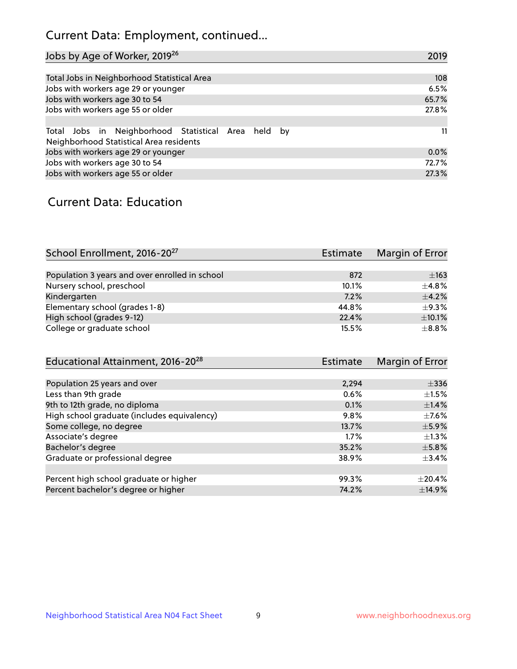# Current Data: Employment, continued...

| Jobs by Age of Worker, 2019 <sup>26</sup>                                                      | 2019  |
|------------------------------------------------------------------------------------------------|-------|
|                                                                                                |       |
| Total Jobs in Neighborhood Statistical Area                                                    | 108   |
| Jobs with workers age 29 or younger                                                            | 6.5%  |
| Jobs with workers age 30 to 54                                                                 | 65.7% |
| Jobs with workers age 55 or older                                                              | 27.8% |
|                                                                                                |       |
| Total Jobs in Neighborhood Statistical Area held by<br>Neighborhood Statistical Area residents | 11    |
| Jobs with workers age 29 or younger                                                            | 0.0%  |
| Jobs with workers age 30 to 54                                                                 | 72.7% |
| Jobs with workers age 55 or older                                                              | 27.3% |

### Current Data: Education

| School Enrollment, 2016-20 <sup>27</sup>       | Estimate | Margin of Error |
|------------------------------------------------|----------|-----------------|
|                                                |          |                 |
| Population 3 years and over enrolled in school | 872      | $\pm 163$       |
| Nursery school, preschool                      | 10.1%    | $+4.8%$         |
| Kindergarten                                   | 7.2%     | $\pm$ 4.2%      |
| Elementary school (grades 1-8)                 | 44.8%    | $+9.3%$         |
| High school (grades 9-12)                      | 22.4%    | $\pm$ 10.1%     |
| College or graduate school                     | 15.5%    | $\pm$ 8.8%      |

| Educational Attainment, 2016-20 <sup>28</sup> | <b>Estimate</b> | Margin of Error |
|-----------------------------------------------|-----------------|-----------------|
|                                               |                 |                 |
| Population 25 years and over                  | 2,294           | $\pm$ 336       |
| Less than 9th grade                           | 0.6%            | $\pm 1.5\%$     |
| 9th to 12th grade, no diploma                 | 0.1%            | $\pm$ 1.4%      |
| High school graduate (includes equivalency)   | 9.8%            | $\pm$ 7.6%      |
| Some college, no degree                       | 13.7%           | $\pm$ 5.9%      |
| Associate's degree                            | 1.7%            | $\pm 1.3\%$     |
| Bachelor's degree                             | 35.2%           | $\pm$ 5.8%      |
| Graduate or professional degree               | 38.9%           | $\pm$ 3.4%      |
|                                               |                 |                 |
| Percent high school graduate or higher        | 99.3%           | $\pm 20.4\%$    |
| Percent bachelor's degree or higher           | 74.2%           | ±14.9%          |
|                                               |                 |                 |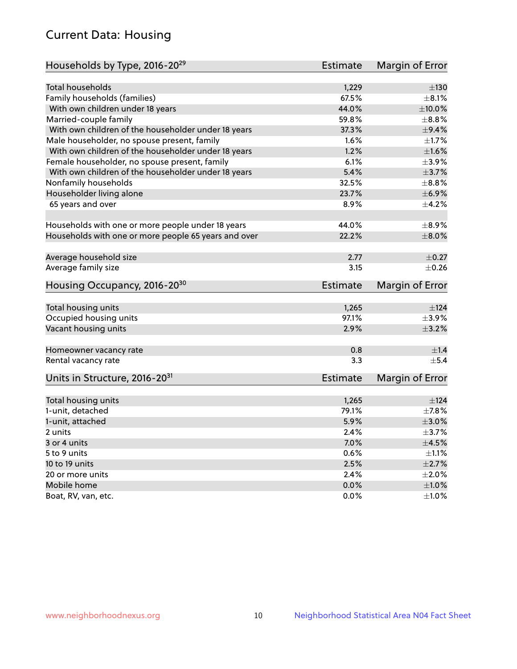# Current Data: Housing

| Households by Type, 2016-20 <sup>29</sup>            | <b>Estimate</b> | Margin of Error |
|------------------------------------------------------|-----------------|-----------------|
|                                                      |                 |                 |
| Total households                                     | 1,229           | $\pm$ 130       |
| Family households (families)                         | 67.5%           | $+8.1%$         |
| With own children under 18 years                     | 44.0%           | $\pm$ 10.0%     |
| Married-couple family                                | 59.8%           | $\pm$ 8.8%      |
| With own children of the householder under 18 years  | 37.3%           | $\pm$ 9.4%      |
| Male householder, no spouse present, family          | 1.6%            | $\pm$ 1.7%      |
| With own children of the householder under 18 years  | 1.2%            | $\pm1.6\%$      |
| Female householder, no spouse present, family        | 6.1%            | $\pm$ 3.9%      |
| With own children of the householder under 18 years  | 5.4%            | $\pm$ 3.7%      |
| Nonfamily households                                 | 32.5%           | $\pm$ 8.8%      |
| Householder living alone                             | 23.7%           | ±6.9%           |
| 65 years and over                                    | 8.9%            | $\pm$ 4.2%      |
|                                                      |                 |                 |
| Households with one or more people under 18 years    | 44.0%           | $\pm$ 8.9%      |
| Households with one or more people 65 years and over | 22.2%           | $\pm$ 8.0%      |
| Average household size                               | 2.77            | $\pm$ 0.27      |
| Average family size                                  | 3.15            | $\pm$ 0.26      |
|                                                      |                 |                 |
| Housing Occupancy, 2016-20 <sup>30</sup>             | <b>Estimate</b> | Margin of Error |
| Total housing units                                  | 1,265           | ±124            |
| Occupied housing units                               | 97.1%           | $\pm$ 3.9%      |
| Vacant housing units                                 | 2.9%            | $\pm$ 3.2%      |
|                                                      |                 |                 |
| Homeowner vacancy rate                               | 0.8             | ±1.4            |
| Rental vacancy rate                                  | 3.3             | $+5.4$          |
| Units in Structure, 2016-20 <sup>31</sup>            | Estimate        | Margin of Error |
|                                                      |                 |                 |
| Total housing units                                  | 1,265           | $\pm$ 124       |
| 1-unit, detached                                     | 79.1%           | $\pm$ 7.8%      |
| 1-unit, attached                                     | 5.9%            | $\pm 3.0\%$     |
| 2 units                                              | 2.4%            | $\pm$ 3.7%      |
| 3 or 4 units                                         | 7.0%            | $\pm$ 4.5%      |
| 5 to 9 units                                         | 0.6%            | $\pm 1.1\%$     |
| 10 to 19 units                                       | 2.5%            | $\pm 2.7\%$     |
| 20 or more units                                     | 2.4%            | $\pm 2.0\%$     |
| Mobile home                                          | 0.0%            | $\pm1.0\%$      |
| Boat, RV, van, etc.                                  | $0.0\%$         | $\pm 1.0\%$     |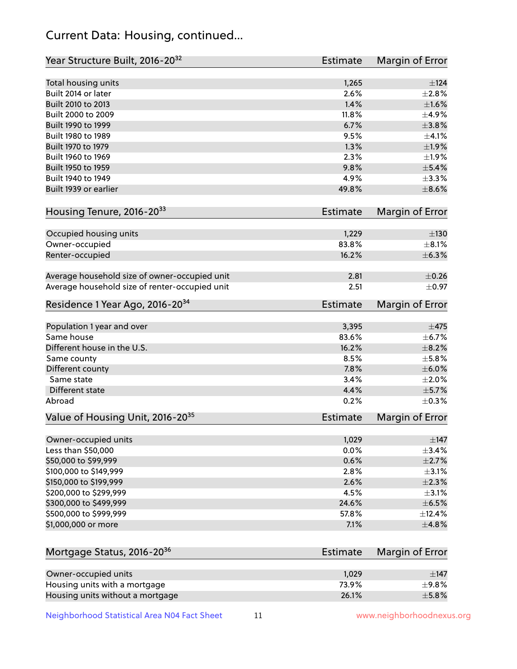# Current Data: Housing, continued...

| Year Structure Built, 2016-20 <sup>32</sup>    | <b>Estimate</b> | Margin of Error |
|------------------------------------------------|-----------------|-----------------|
| Total housing units                            | 1,265           | $\pm$ 124       |
| Built 2014 or later                            | 2.6%            | $\pm 2.8\%$     |
| Built 2010 to 2013                             | 1.4%            | $\pm1.6\%$      |
| Built 2000 to 2009                             | 11.8%           | ±4.9%           |
| Built 1990 to 1999                             | 6.7%            | ±3.8%           |
| Built 1980 to 1989                             | 9.5%            | $\pm 4.1\%$     |
| Built 1970 to 1979                             | 1.3%            | ±1.9%           |
| Built 1960 to 1969                             | 2.3%            | $\pm 1.9\%$     |
| Built 1950 to 1959                             | 9.8%            | $\pm$ 5.4%      |
| Built 1940 to 1949                             | 4.9%            | $\pm$ 3.3%      |
| Built 1939 or earlier                          | 49.8%           | $\pm$ 8.6%      |
| Housing Tenure, 2016-2033                      | <b>Estimate</b> | Margin of Error |
| Occupied housing units                         | 1,229           | $\pm 130$       |
| Owner-occupied                                 | 83.8%           | $\pm$ 8.1%      |
| Renter-occupied                                | 16.2%           | $\pm$ 6.3%      |
| Average household size of owner-occupied unit  | 2.81            | $\pm$ 0.26      |
| Average household size of renter-occupied unit | 2.51            | $\pm$ 0.97      |
| Residence 1 Year Ago, 2016-20 <sup>34</sup>    | <b>Estimate</b> | Margin of Error |
|                                                |                 |                 |
| Population 1 year and over                     | 3,395           | $\pm$ 475       |
| Same house                                     | 83.6%           | $\pm$ 6.7%      |
| Different house in the U.S.                    | 16.2%           | $\pm$ 8.2%      |
| Same county                                    | 8.5%            | $\pm$ 5.8%      |
| Different county                               | 7.8%            | $\pm$ 6.0%      |
| Same state                                     | 3.4%            | $\pm 2.0\%$     |
| Different state                                | 4.4%            | ±5.7%           |
| Abroad                                         | 0.2%            | $\pm$ 0.3%      |
| Value of Housing Unit, 2016-20 <sup>35</sup>   | <b>Estimate</b> | Margin of Error |
| Owner-occupied units                           | 1,029           | $\pm$ 147       |
| Less than \$50,000                             | 0.0%            | $\pm$ 3.4%      |
| \$50,000 to \$99,999                           | 0.6%            | ±2.7%           |
| \$100,000 to \$149,999                         | 2.8%            | $\pm$ 3.1%      |
| \$150,000 to \$199,999                         | 2.6%            | $\pm 2.3\%$     |
| \$200,000 to \$299,999                         | 4.5%            | $\pm$ 3.1%      |
| \$300,000 to \$499,999                         | 24.6%           | $\pm$ 6.5%      |
| \$500,000 to \$999,999                         | 57.8%           | ±12.4%          |
| \$1,000,000 or more                            | 7.1%            | ±4.8%           |
| Mortgage Status, 2016-20 <sup>36</sup>         | <b>Estimate</b> | Margin of Error |
|                                                |                 |                 |
| Owner-occupied units                           | 1,029           | $\pm$ 147       |
| Housing units with a mortgage                  | 73.9%           | $\pm$ 9.8%      |
| Housing units without a mortgage               | 26.1%           | $\pm$ 5.8%      |

Neighborhood Statistical Area N04 Fact Sheet 11 11 www.neighborhoodnexus.org

Housing units without a mortgage 26.1%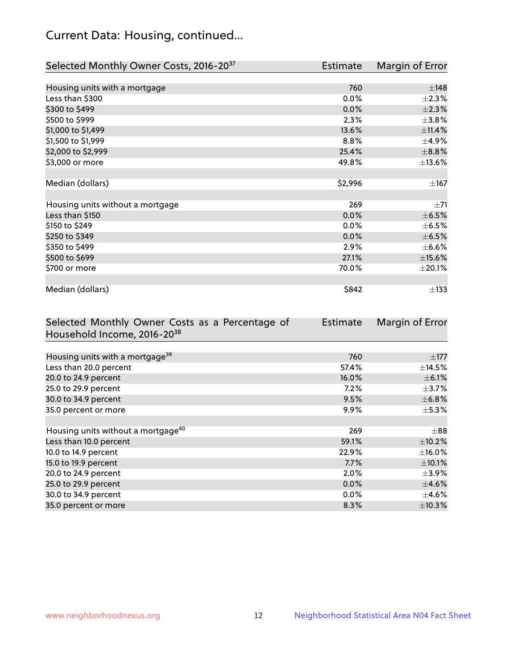# Current Data: Housing, continued...

| Selected Monthly Owner Costs, 2016-20 <sup>37</sup> | Estimate | Margin of Error |
|-----------------------------------------------------|----------|-----------------|
|                                                     |          |                 |
| Housing units with a mortgage                       | 760      | ±148            |
| Less than \$300                                     | 0.0%     | $\pm 2.3\%$     |
| \$300 to \$499                                      | 0.0%     | ±2.3%           |
| \$500 to \$999                                      | 2.3%     | $\pm$ 3.8%      |
| \$1,000 to \$1,499                                  | 13.6%    | ±11.4%          |
| \$1,500 to \$1,999                                  | 8.8%     | $\pm$ 4.9%      |
| \$2,000 to \$2,999                                  | 25.4%    | $\pm$ 8.8%      |
| \$3,000 or more                                     | 49.8%    | ±13.6%          |
|                                                     |          |                 |
| Median (dollars)                                    | \$2,996  | ±167            |
|                                                     |          |                 |
| Housing units without a mortgage                    | 269      | $\pm 71$        |
| Less than \$150                                     | 0.0%     | $\pm$ 6.5%      |
| \$150 to \$249                                      | 0.0%     | $\pm$ 6.5%      |
| \$250 to \$349                                      | 0.0%     | $\pm$ 6.5%      |
| \$350 to \$499                                      | 2.9%     | $\pm$ 6.6%      |
| \$500 to \$699                                      | 27.1%    | $\pm$ 15.6%     |
| \$700 or more                                       | 70.0%    | $\pm 20.1\%$    |
|                                                     |          |                 |
| Median (dollars)                                    | \$842    | $\pm$ 133       |

| Selected Monthly Owner Costs as a Percentage of | Estimate | Margin of Error |
|-------------------------------------------------|----------|-----------------|
| Household Income, 2016-20 <sup>38</sup>         |          |                 |
|                                                 |          |                 |
| Housing units with a mortgage <sup>39</sup>     | 760      | $\pm$ 177       |
| Less than 20.0 percent                          | 57.4%    | $\pm$ 14.5%     |
| 20.0 to 24.9 percent                            | 16.0%    | $\pm$ 6.1%      |
| 25.0 to 29.9 percent                            | 7.2%     | $\pm$ 3.7%      |
| 30.0 to 34.9 percent                            | 9.5%     | $\pm$ 6.8%      |
| 35.0 percent or more                            | 9.9%     | $\pm$ 5.3%      |
|                                                 |          |                 |
| Housing units without a mortgage <sup>40</sup>  | 269      | $\pm 88$        |
| Less than 10.0 percent                          | 59.1%    | $\pm$ 10.2%     |
| 10.0 to 14.9 percent                            | 22.9%    | $\pm$ 16.0%     |
| 15.0 to 19.9 percent                            | 7.7%     | $\pm$ 10.1%     |
| 20.0 to 24.9 percent                            | $2.0\%$  | $\pm$ 3.9%      |
| 25.0 to 29.9 percent                            | 0.0%     | $\pm$ 4.6%      |
| 30.0 to 34.9 percent                            | $0.0\%$  | $\pm$ 4.6%      |
| 35.0 percent or more                            | 8.3%     | $\pm$ 10.3%     |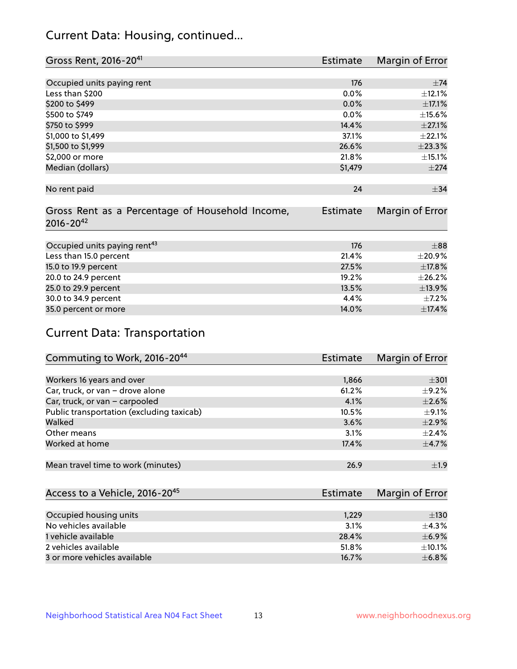# Current Data: Housing, continued...

| Gross Rent, 2016-20 <sup>41</sup>               | <b>Estimate</b> | Margin of Error |
|-------------------------------------------------|-----------------|-----------------|
|                                                 |                 |                 |
| Occupied units paying rent                      | 176             | $+74$           |
| Less than \$200                                 | 0.0%            | ±12.1%          |
| \$200 to \$499                                  | 0.0%            | $\pm$ 17.1%     |
| \$500 to \$749                                  | 0.0%            | $\pm$ 15.6%     |
| \$750 to \$999                                  | 14.4%           | $\pm 27.1\%$    |
| \$1,000 to \$1,499                              | 37.1%           | $\pm 22.1\%$    |
| \$1,500 to \$1,999                              | 26.6%           | ±23.3%          |
| \$2,000 or more                                 | 21.8%           | ±15.1%          |
| Median (dollars)                                | \$1,479         | $\pm 274$       |
|                                                 |                 |                 |
| No rent paid                                    | 24              | $\pm$ 34        |
|                                                 |                 |                 |
| Gross Rent as a Percentage of Household Income, | <b>Estimate</b> | Margin of Error |
| $2016 - 20^{42}$                                |                 |                 |
|                                                 |                 |                 |
| Occupied units paying rent <sup>43</sup>        | 176             | $+88$           |
| Less than 15.0 percent                          | 21.4%           | ±20.9%          |
| 15.0 to 19.9 percent                            | 27.5%           | ±17.8%          |
| 20.0 to 24.9 percent                            | 19.2%           | ±26.2%          |
| 25.0 to 29.9 percent                            | 13.5%           | ±13.9%          |
| 30.0 to 34.9 percent                            | 4.4%            | $\pm$ 7.2%      |
| 35.0 percent or more                            | 14.0%           | ±17.4%          |

# Current Data: Transportation

| Commuting to Work, 2016-20 <sup>44</sup>  | <b>Estimate</b> | Margin of Error |
|-------------------------------------------|-----------------|-----------------|
|                                           |                 |                 |
| Workers 16 years and over                 | 1,866           | $\pm$ 301       |
| Car, truck, or van - drove alone          | 61.2%           | $\pm$ 9.2%      |
| Car, truck, or van - carpooled            | 4.1%            | $\pm 2.6\%$     |
| Public transportation (excluding taxicab) | 10.5%           | $\pm$ 9.1%      |
| Walked                                    | 3.6%            | $\pm 2.9\%$     |
| Other means                               | 3.1%            | $\pm 2.4\%$     |
| Worked at home                            | 17.4%           | $\pm$ 4.7%      |
|                                           |                 |                 |
| Mean travel time to work (minutes)        | 26.9            | ±1.9            |

| Access to a Vehicle, 2016-20 <sup>45</sup> | Estimate | <b>Margin of Error</b> |
|--------------------------------------------|----------|------------------------|
|                                            |          |                        |
| Occupied housing units                     | 1,229    | $\pm$ 130              |
| No vehicles available                      | 3.1%     | $+4.3%$                |
| 1 vehicle available                        | 28.4%    | $\pm$ 6.9%             |
| 2 vehicles available                       | 51.8%    | $+10.1%$               |
| 3 or more vehicles available               | 16.7%    | $\pm$ 6.8%             |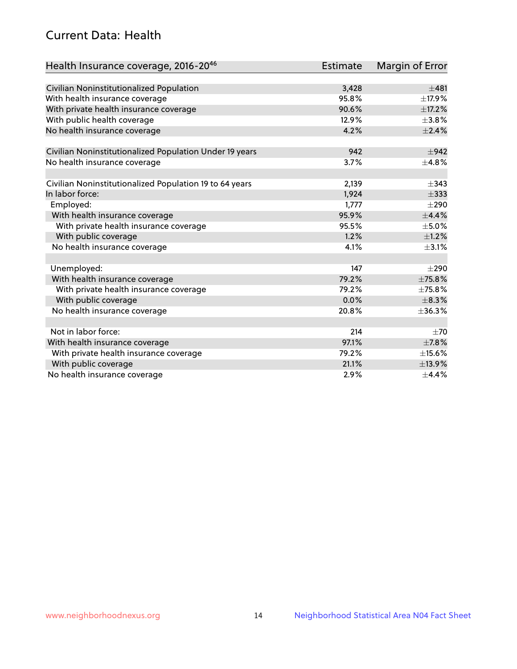# Current Data: Health

| Health Insurance coverage, 2016-2046                    | <b>Estimate</b> | Margin of Error |
|---------------------------------------------------------|-----------------|-----------------|
|                                                         |                 |                 |
| Civilian Noninstitutionalized Population                | 3,428           | ±481            |
| With health insurance coverage                          | 95.8%           | ±17.9%          |
| With private health insurance coverage                  | 90.6%           | ±17.2%          |
| With public health coverage                             | 12.9%           | $\pm$ 3.8%      |
| No health insurance coverage                            | 4.2%            | $\pm 2.4\%$     |
| Civilian Noninstitutionalized Population Under 19 years | 942             | $\pm$ 942       |
| No health insurance coverage                            | 3.7%            | ±4.8%           |
|                                                         |                 |                 |
| Civilian Noninstitutionalized Population 19 to 64 years | 2,139           | $\pm$ 343       |
| In labor force:                                         | 1,924           | $\pm$ 333       |
| Employed:                                               | 1,777           | $\pm 290$       |
| With health insurance coverage                          | 95.9%           | $\pm$ 4.4%      |
| With private health insurance coverage                  | 95.5%           | $\pm$ 5.0%      |
| With public coverage                                    | 1.2%            | $\pm$ 1.2%      |
| No health insurance coverage                            | 4.1%            | $\pm$ 3.1%      |
|                                                         |                 |                 |
| Unemployed:                                             | 147             | $\pm 290$       |
| With health insurance coverage                          | 79.2%           | ±75.8%          |
| With private health insurance coverage                  | 79.2%           | ±75.8%          |
| With public coverage                                    | 0.0%            | $\pm$ 8.3%      |
| No health insurance coverage                            | 20.8%           | ±36.3%          |
|                                                         |                 |                 |
| Not in labor force:                                     | 214             | $\pm 70$        |
| With health insurance coverage                          | 97.1%           | $\pm$ 7.8%      |
| With private health insurance coverage                  | 79.2%           | $\pm$ 15.6%     |
| With public coverage                                    | 21.1%           | ±13.9%          |
| No health insurance coverage                            | 2.9%            | $\pm$ 4.4%      |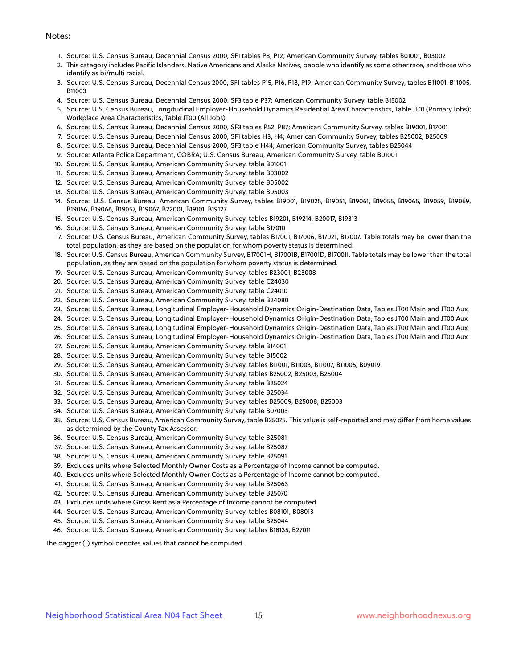#### Notes:

- 1. Source: U.S. Census Bureau, Decennial Census 2000, SF1 tables P8, P12; American Community Survey, tables B01001, B03002
- 2. This category includes Pacific Islanders, Native Americans and Alaska Natives, people who identify as some other race, and those who identify as bi/multi racial.
- 3. Source: U.S. Census Bureau, Decennial Census 2000, SF1 tables P15, P16, P18, P19; American Community Survey, tables B11001, B11005, B11003
- 4. Source: U.S. Census Bureau, Decennial Census 2000, SF3 table P37; American Community Survey, table B15002
- 5. Source: U.S. Census Bureau, Longitudinal Employer-Household Dynamics Residential Area Characteristics, Table JT01 (Primary Jobs); Workplace Area Characteristics, Table JT00 (All Jobs)
- 6. Source: U.S. Census Bureau, Decennial Census 2000, SF3 tables P52, P87; American Community Survey, tables B19001, B17001
- 7. Source: U.S. Census Bureau, Decennial Census 2000, SF1 tables H3, H4; American Community Survey, tables B25002, B25009
- 8. Source: U.S. Census Bureau, Decennial Census 2000, SF3 table H44; American Community Survey, tables B25044
- 9. Source: Atlanta Police Department, COBRA; U.S. Census Bureau, American Community Survey, table B01001
- 10. Source: U.S. Census Bureau, American Community Survey, table B01001
- 11. Source: U.S. Census Bureau, American Community Survey, table B03002
- 12. Source: U.S. Census Bureau, American Community Survey, table B05002
- 13. Source: U.S. Census Bureau, American Community Survey, table B05003
- 14. Source: U.S. Census Bureau, American Community Survey, tables B19001, B19025, B19051, B19061, B19055, B19065, B19059, B19069, B19056, B19066, B19057, B19067, B22001, B19101, B19127
- 15. Source: U.S. Census Bureau, American Community Survey, tables B19201, B19214, B20017, B19313
- 16. Source: U.S. Census Bureau, American Community Survey, table B17010
- 17. Source: U.S. Census Bureau, American Community Survey, tables B17001, B17006, B17021, B17007. Table totals may be lower than the total population, as they are based on the population for whom poverty status is determined.
- 18. Source: U.S. Census Bureau, American Community Survey, B17001H, B17001B, B17001D, B17001I. Table totals may be lower than the total population, as they are based on the population for whom poverty status is determined.
- 19. Source: U.S. Census Bureau, American Community Survey, tables B23001, B23008
- 20. Source: U.S. Census Bureau, American Community Survey, table C24030
- 21. Source: U.S. Census Bureau, American Community Survey, table C24010
- 22. Source: U.S. Census Bureau, American Community Survey, table B24080
- 23. Source: U.S. Census Bureau, Longitudinal Employer-Household Dynamics Origin-Destination Data, Tables JT00 Main and JT00 Aux
- 24. Source: U.S. Census Bureau, Longitudinal Employer-Household Dynamics Origin-Destination Data, Tables JT00 Main and JT00 Aux
- 25. Source: U.S. Census Bureau, Longitudinal Employer-Household Dynamics Origin-Destination Data, Tables JT00 Main and JT00 Aux
- 26. Source: U.S. Census Bureau, Longitudinal Employer-Household Dynamics Origin-Destination Data, Tables JT00 Main and JT00 Aux
- 27. Source: U.S. Census Bureau, American Community Survey, table B14001
- 28. Source: U.S. Census Bureau, American Community Survey, table B15002
- 29. Source: U.S. Census Bureau, American Community Survey, tables B11001, B11003, B11007, B11005, B09019
- 30. Source: U.S. Census Bureau, American Community Survey, tables B25002, B25003, B25004
- 31. Source: U.S. Census Bureau, American Community Survey, table B25024
- 32. Source: U.S. Census Bureau, American Community Survey, table B25034
- 33. Source: U.S. Census Bureau, American Community Survey, tables B25009, B25008, B25003
- 34. Source: U.S. Census Bureau, American Community Survey, table B07003
- 35. Source: U.S. Census Bureau, American Community Survey, table B25075. This value is self-reported and may differ from home values as determined by the County Tax Assessor.
- 36. Source: U.S. Census Bureau, American Community Survey, table B25081
- 37. Source: U.S. Census Bureau, American Community Survey, table B25087
- 38. Source: U.S. Census Bureau, American Community Survey, table B25091
- 39. Excludes units where Selected Monthly Owner Costs as a Percentage of Income cannot be computed.
- 40. Excludes units where Selected Monthly Owner Costs as a Percentage of Income cannot be computed.
- 41. Source: U.S. Census Bureau, American Community Survey, table B25063
- 42. Source: U.S. Census Bureau, American Community Survey, table B25070
- 43. Excludes units where Gross Rent as a Percentage of Income cannot be computed.
- 44. Source: U.S. Census Bureau, American Community Survey, tables B08101, B08013
- 45. Source: U.S. Census Bureau, American Community Survey, table B25044
- 46. Source: U.S. Census Bureau, American Community Survey, tables B18135, B27011

The dagger (†) symbol denotes values that cannot be computed.